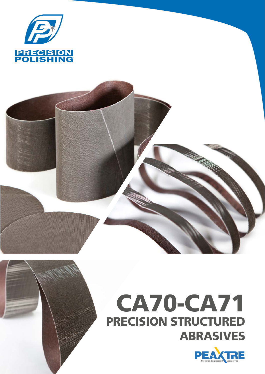

# CA70-CA71 PRECISION STRUCTURED ABRASIVES